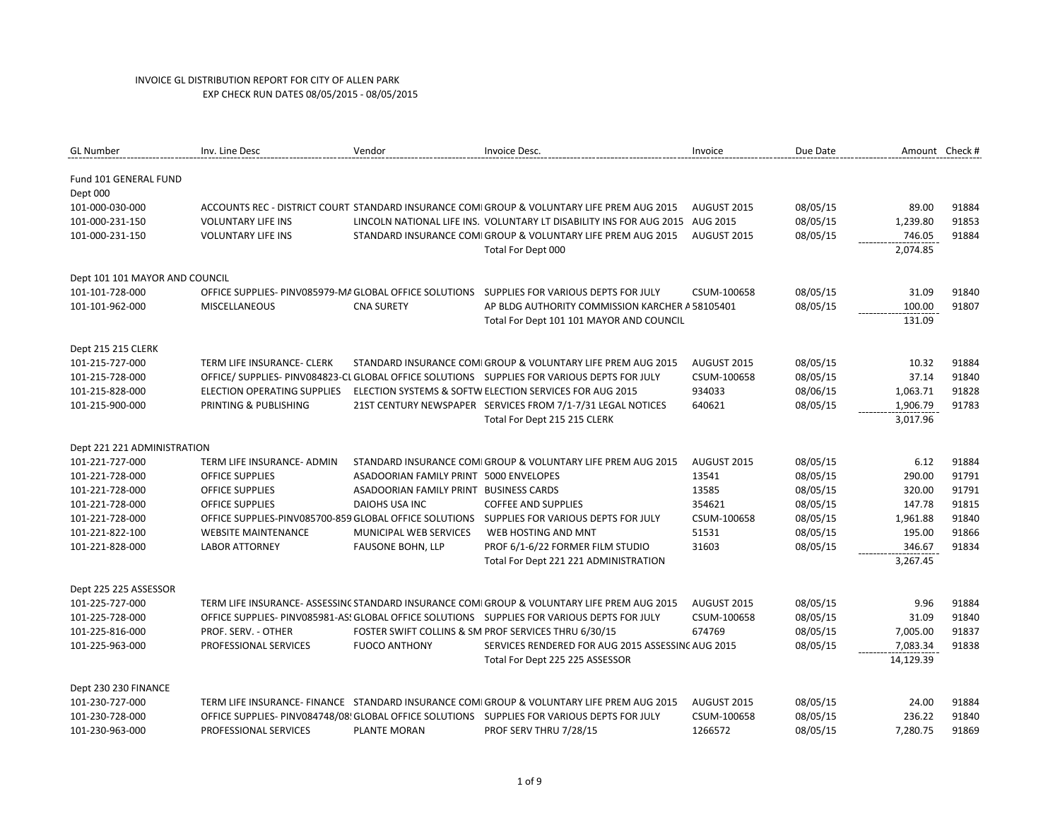| <b>GL Number</b>                  | Inv. Line Desc                     | Vendor                                 | Invoice Desc.                                                                               | Invoice     | Due Date | Amount Check # |       |
|-----------------------------------|------------------------------------|----------------------------------------|---------------------------------------------------------------------------------------------|-------------|----------|----------------|-------|
| Fund 101 GENERAL FUND<br>Dept 000 |                                    |                                        |                                                                                             |             |          |                |       |
| 101-000-030-000                   |                                    |                                        | ACCOUNTS REC - DISTRICT COURT STANDARD INSURANCE COMIGROUP & VOLUNTARY LIFE PREM AUG 2015   | AUGUST 2015 | 08/05/15 | 89.00          | 91884 |
| 101-000-231-150                   | <b>VOLUNTARY LIFE INS</b>          |                                        | LINCOLN NATIONAL LIFE INS. VOLUNTARY LT DISABILITY INS FOR AUG 2015 AUG 2015                |             | 08/05/15 | 1,239.80       | 91853 |
| 101-000-231-150                   | <b>VOLUNTARY LIFE INS</b>          |                                        | STANDARD INSURANCE COMI GROUP & VOLUNTARY LIFE PREM AUG 2015                                | AUGUST 2015 | 08/05/15 | 746.05         | 91884 |
|                                   |                                    |                                        | Total For Dept 000                                                                          |             |          | 2,074.85       |       |
| Dept 101 101 MAYOR AND COUNCIL    |                                    |                                        |                                                                                             |             |          |                |       |
| 101-101-728-000                   |                                    |                                        | OFFICE SUPPLIES- PINV085979-MA GLOBAL OFFICE SOLUTIONS SUPPLIES FOR VARIOUS DEPTS FOR JULY  | CSUM-100658 | 08/05/15 | 31.09          | 91840 |
| 101-101-962-000                   | <b>MISCELLANEOUS</b>               | <b>CNA SURETY</b>                      | AP BLDG AUTHORITY COMMISSION KARCHER A 58105401                                             |             | 08/05/15 | 100.00         | 91807 |
|                                   |                                    |                                        | Total For Dept 101 101 MAYOR AND COUNCIL                                                    |             |          | 131.09         |       |
| Dept 215 215 CLERK                |                                    |                                        |                                                                                             |             |          |                |       |
| 101-215-727-000                   | TERM LIFE INSURANCE- CLERK         |                                        | STANDARD INSURANCE COMI GROUP & VOLUNTARY LIFE PREM AUG 2015                                | AUGUST 2015 | 08/05/15 | 10.32          | 91884 |
| 101-215-728-000                   |                                    |                                        | OFFICE/SUPPLIES-PINV084823-CL GLOBAL OFFICE SOLUTIONS SUPPLIES FOR VARIOUS DEPTS FOR JULY   | CSUM-100658 | 08/05/15 | 37.14          | 91840 |
| 101-215-828-000                   | <b>ELECTION OPERATING SUPPLIES</b> |                                        | ELECTION SYSTEMS & SOFTW ELECTION SERVICES FOR AUG 2015                                     | 934033      | 08/06/15 | 1,063.71       | 91828 |
| 101-215-900-000                   | PRINTING & PUBLISHING              |                                        | 21ST CENTURY NEWSPAPER SERVICES FROM 7/1-7/31 LEGAL NOTICES                                 | 640621      | 08/05/15 | 1,906.79       | 91783 |
|                                   |                                    |                                        | Total For Dept 215 215 CLERK                                                                |             |          | 3,017.96       |       |
| Dept 221 221 ADMINISTRATION       |                                    |                                        |                                                                                             |             |          |                |       |
| 101-221-727-000                   | TERM LIFE INSURANCE- ADMIN         |                                        | STANDARD INSURANCE COMI GROUP & VOLUNTARY LIFE PREM AUG 2015                                | AUGUST 2015 | 08/05/15 | 6.12           | 91884 |
| 101-221-728-000                   | <b>OFFICE SUPPLIES</b>             | ASADOORIAN FAMILY PRINT 5000 ENVELOPES |                                                                                             | 13541       | 08/05/15 | 290.00         | 91791 |
| 101-221-728-000                   | <b>OFFICE SUPPLIES</b>             | ASADOORIAN FAMILY PRINT BUSINESS CARDS |                                                                                             | 13585       | 08/05/15 | 320.00         | 91791 |
| 101-221-728-000                   | <b>OFFICE SUPPLIES</b>             | DAIOHS USA INC                         | <b>COFFEE AND SUPPLIES</b>                                                                  | 354621      | 08/05/15 | 147.78         | 91815 |
| 101-221-728-000                   |                                    |                                        | OFFICE SUPPLIES-PINV085700-859 GLOBAL OFFICE SOLUTIONS SUPPLIES FOR VARIOUS DEPTS FOR JULY  | CSUM-100658 | 08/05/15 | 1,961.88       | 91840 |
| 101-221-822-100                   | <b>WEBSITE MAINTENANCE</b>         | MUNICIPAL WEB SERVICES                 | WEB HOSTING AND MNT                                                                         | 51531       | 08/05/15 | 195.00         | 91866 |
| 101-221-828-000                   | <b>LABOR ATTORNEY</b>              | <b>FAUSONE BOHN, LLP</b>               | PROF 6/1-6/22 FORMER FILM STUDIO                                                            | 31603       | 08/05/15 | 346.67         | 91834 |
|                                   |                                    |                                        | Total For Dept 221 221 ADMINISTRATION                                                       |             |          | 3,267.45       |       |
| Dept 225 225 ASSESSOR             |                                    |                                        |                                                                                             |             |          |                |       |
| 101-225-727-000                   |                                    |                                        | TERM LIFE INSURANCE- ASSESSINC STANDARD INSURANCE COMIGROUP & VOLUNTARY LIFE PREM AUG 2015  | AUGUST 2015 | 08/05/15 | 9.96           | 91884 |
| 101-225-728-000                   |                                    |                                        | OFFICE SUPPLIES- PINV085981-AS: GLOBAL OFFICE SOLUTIONS SUPPLIES FOR VARIOUS DEPTS FOR JULY | CSUM-100658 | 08/05/15 | 31.09          | 91840 |
| 101-225-816-000                   | PROF. SERV. - OTHER                |                                        | FOSTER SWIFT COLLINS & SM PROF SERVICES THRU 6/30/15                                        | 674769      | 08/05/15 | 7,005.00       | 91837 |
| 101-225-963-000                   | PROFESSIONAL SERVICES              | <b>FUOCO ANTHONY</b>                   | SERVICES RENDERED FOR AUG 2015 ASSESSING AUG 2015                                           |             | 08/05/15 | 7,083.34       | 91838 |
|                                   |                                    |                                        | Total For Dept 225 225 ASSESSOR                                                             |             |          | 14,129.39      |       |
| Dept 230 230 FINANCE              |                                    |                                        |                                                                                             |             |          |                |       |
| 101-230-727-000                   |                                    |                                        | TERM LIFE INSURANCE- FINANCE STANDARD INSURANCE COMI GROUP & VOLUNTARY LIFE PREM AUG 2015   | AUGUST 2015 | 08/05/15 | 24.00          | 91884 |
| 101-230-728-000                   |                                    |                                        | OFFICE SUPPLIES- PINV084748/08! GLOBAL OFFICE SOLUTIONS SUPPLIES FOR VARIOUS DEPTS FOR JULY | CSUM-100658 | 08/05/15 | 236.22         | 91840 |
| 101-230-963-000                   | PROFESSIONAL SERVICES              | PLANTE MORAN                           | PROF SERV THRU 7/28/15                                                                      | 1266572     | 08/05/15 | 7,280.75       | 91869 |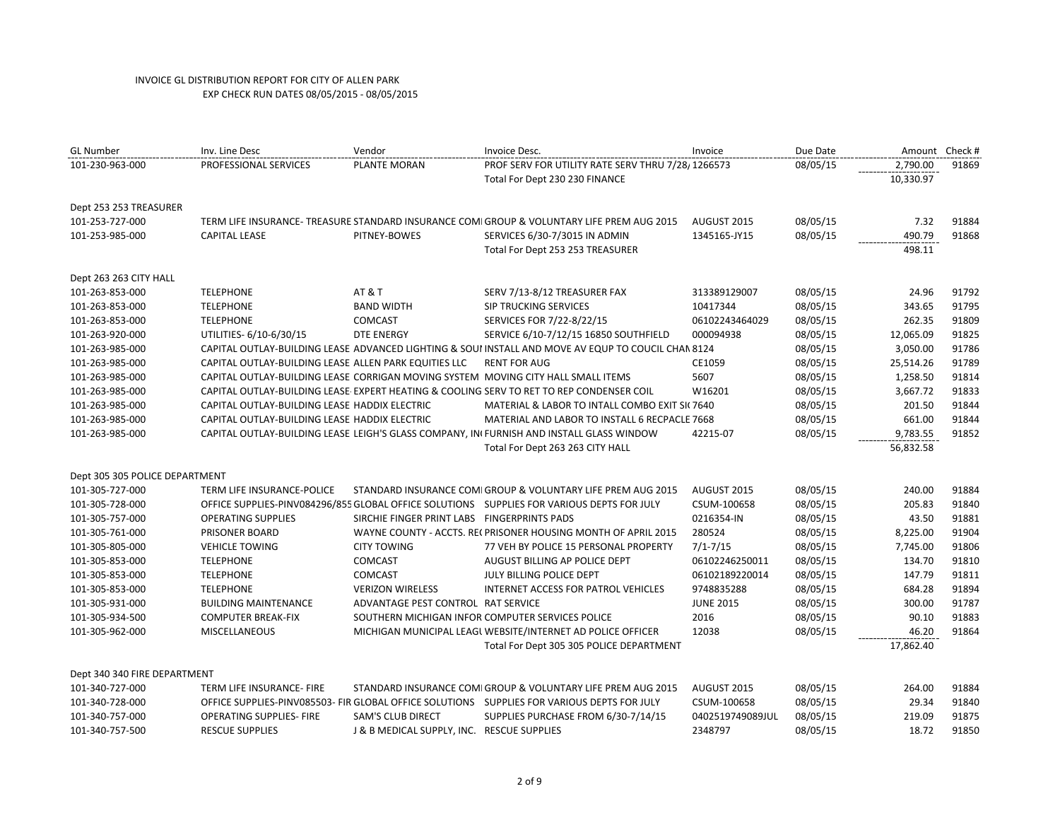| <b>GL Number</b>               | Inv. Line Desc                                        | Vendor                                      | Invoice Desc.                                                                                       | Invoice          | Due Date | Amount    | Check # |
|--------------------------------|-------------------------------------------------------|---------------------------------------------|-----------------------------------------------------------------------------------------------------|------------------|----------|-----------|---------|
| 101-230-963-000                | PROFESSIONAL SERVICES                                 | PLANTE MORAN                                | PROF SERV FOR UTILITY RATE SERV THRU 7/28/1266573                                                   |                  | 08/05/15 | 2,790.00  | 91869   |
|                                |                                                       |                                             | Total For Dept 230 230 FINANCE                                                                      |                  |          | 10,330.97 |         |
| Dept 253 253 TREASURER         |                                                       |                                             |                                                                                                     |                  |          |           |         |
| 101-253-727-000                |                                                       |                                             | TERM LIFE INSURANCE-TREASURE STANDARD INSURANCE COMI GROUP & VOLUNTARY LIFE PREM AUG 2015           | AUGUST 2015      | 08/05/15 | 7.32      | 91884   |
| 101-253-985-000                | <b>CAPITAL LEASE</b>                                  | PITNEY-BOWES                                | SERVICES 6/30-7/3015 IN ADMIN                                                                       | 1345165-JY15     | 08/05/15 | 490.79    | 91868   |
|                                |                                                       |                                             | Total For Dept 253 253 TREASURER                                                                    |                  |          | 498.11    |         |
| Dept 263 263 CITY HALL         |                                                       |                                             |                                                                                                     |                  |          |           |         |
| 101-263-853-000                | <b>TELEPHONE</b>                                      | AT&T                                        | SERV 7/13-8/12 TREASURER FAX                                                                        | 313389129007     | 08/05/15 | 24.96     | 91792   |
| 101-263-853-000                | <b>TELEPHONE</b>                                      | <b>BAND WIDTH</b>                           | SIP TRUCKING SERVICES                                                                               | 10417344         | 08/05/15 | 343.65    | 91795   |
| 101-263-853-000                | <b>TELEPHONE</b>                                      | <b>COMCAST</b>                              | SERVICES FOR 7/22-8/22/15                                                                           | 06102243464029   | 08/05/15 | 262.35    | 91809   |
| 101-263-920-000                | UTILITIES- 6/10-6/30/15                               | <b>DTE ENERGY</b>                           | SERVICE 6/10-7/12/15 16850 SOUTHFIELD                                                               | 000094938        | 08/05/15 | 12,065.09 | 91825   |
| 101-263-985-000                |                                                       |                                             | CAPITAL OUTLAY-BUILDING LEASE ADVANCED LIGHTING & SOUI INSTALL AND MOVE AV EQUP TO COUCIL CHAN 8124 |                  | 08/05/15 | 3,050.00  | 91786   |
| 101-263-985-000                | CAPITAL OUTLAY-BUILDING LEASE ALLEN PARK EQUITIES LLC |                                             | <b>RENT FOR AUG</b>                                                                                 | CE1059           | 08/05/15 | 25,514.26 | 91789   |
| 101-263-985-000                |                                                       |                                             | CAPITAL OUTLAY-BUILDING LEASE CORRIGAN MOVING SYSTEM MOVING CITY HALL SMALL ITEMS                   | 5607             | 08/05/15 | 1,258.50  | 91814   |
| 101-263-985-000                |                                                       |                                             | CAPITAL OUTLAY-BUILDING LEASE EXPERT HEATING & COOLING SERV TO RET TO REP CONDENSER COIL            | W16201           | 08/05/15 | 3,667.72  | 91833   |
| 101-263-985-000                | CAPITAL OUTLAY-BUILDING LEASE HADDIX ELECTRIC         |                                             | MATERIAL & LABOR TO INTALL COMBO EXIT SI( 7640                                                      |                  | 08/05/15 | 201.50    | 91844   |
| 101-263-985-000                | CAPITAL OUTLAY-BUILDING LEASE HADDIX ELECTRIC         |                                             | MATERIAL AND LABOR TO INSTALL 6 RECPACLE 7668                                                       |                  | 08/05/15 | 661.00    | 91844   |
| 101-263-985-000                |                                                       |                                             | CAPITAL OUTLAY-BUILDING LEASE LEIGH'S GLASS COMPANY, IN FURNISH AND INSTALL GLASS WINDOW            | 42215-07         | 08/05/15 | 9,783.55  | 91852   |
|                                |                                                       |                                             | Total For Dept 263 263 CITY HALL                                                                    |                  |          | 56,832.58 |         |
| Dept 305 305 POLICE DEPARTMENT |                                                       |                                             |                                                                                                     |                  |          |           |         |
| 101-305-727-000                | TERM LIFE INSURANCE-POLICE                            |                                             | STANDARD INSURANCE COMI GROUP & VOLUNTARY LIFE PREM AUG 2015                                        | AUGUST 2015      | 08/05/15 | 240.00    | 91884   |
| 101-305-728-000                |                                                       |                                             | OFFICE SUPPLIES-PINV084296/855 GLOBAL OFFICE SOLUTIONS SUPPLIES FOR VARIOUS DEPTS FOR JULY          | CSUM-100658      | 08/05/15 | 205.83    | 91840   |
| 101-305-757-000                | <b>OPERATING SUPPLIES</b>                             | SIRCHIE FINGER PRINT LABS FINGERPRINTS PADS |                                                                                                     | 0216354-IN       | 08/05/15 | 43.50     | 91881   |
| 101-305-761-000                | PRISONER BOARD                                        |                                             | WAYNE COUNTY - ACCTS. RECPRISONER HOUSING MONTH OF APRIL 2015                                       | 280524           | 08/05/15 | 8,225.00  | 91904   |
| 101-305-805-000                | <b>VEHICLE TOWING</b>                                 | <b>CITY TOWING</b>                          | 77 VEH BY POLICE 15 PERSONAL PROPERTY                                                               | $7/1 - 7/15$     | 08/05/15 | 7,745.00  | 91806   |
| 101-305-853-000                | <b>TELEPHONE</b>                                      | <b>COMCAST</b>                              | AUGUST BILLING AP POLICE DEPT                                                                       | 06102246250011   | 08/05/15 | 134.70    | 91810   |
| 101-305-853-000                | <b>TELEPHONE</b>                                      | <b>COMCAST</b>                              | JULY BILLING POLICE DEPT                                                                            | 06102189220014   | 08/05/15 | 147.79    | 91811   |
| 101-305-853-000                | <b>TELEPHONE</b>                                      | <b>VERIZON WIRELESS</b>                     | INTERNET ACCESS FOR PATROL VEHICLES                                                                 | 9748835288       | 08/05/15 | 684.28    | 91894   |
| 101-305-931-000                | <b>BUILDING MAINTENANCE</b>                           | ADVANTAGE PEST CONTROL RAT SERVICE          |                                                                                                     | <b>JUNE 2015</b> | 08/05/15 | 300.00    | 91787   |
| 101-305-934-500                | <b>COMPUTER BREAK-FIX</b>                             |                                             | SOUTHERN MICHIGAN INFOR COMPUTER SERVICES POLICE                                                    | 2016             | 08/05/15 | 90.10     | 91883   |
| 101-305-962-000                | <b>MISCELLANEOUS</b>                                  |                                             | MICHIGAN MUNICIPAL LEAGL WEBSITE/INTERNET AD POLICE OFFICER                                         | 12038            | 08/05/15 | 46.20     | 91864   |
|                                |                                                       |                                             | Total For Dept 305 305 POLICE DEPARTMENT                                                            |                  |          | 17,862.40 |         |
| Dept 340 340 FIRE DEPARTMENT   |                                                       |                                             |                                                                                                     |                  |          |           |         |
| 101-340-727-000                | TERM LIFE INSURANCE- FIRE                             |                                             | STANDARD INSURANCE COMI GROUP & VOLUNTARY LIFE PREM AUG 2015                                        | AUGUST 2015      | 08/05/15 | 264.00    | 91884   |
| 101-340-728-000                |                                                       |                                             | OFFICE SUPPLIES-PINV085503- FIR GLOBAL OFFICE SOLUTIONS  SUPPLIES FOR VARIOUS DEPTS FOR JULY        | CSUM-100658      | 08/05/15 | 29.34     | 91840   |
| 101-340-757-000                | <b>OPERATING SUPPLIES- FIRE</b>                       | <b>SAM'S CLUB DIRECT</b>                    | SUPPLIES PURCHASE FROM 6/30-7/14/15                                                                 | 0402519749089JUL | 08/05/15 | 219.09    | 91875   |
| 101-340-757-500                | <b>RESCUE SUPPLIES</b>                                | J & B MEDICAL SUPPLY, INC. RESCUE SUPPLIES  |                                                                                                     | 2348797          | 08/05/15 | 18.72     | 91850   |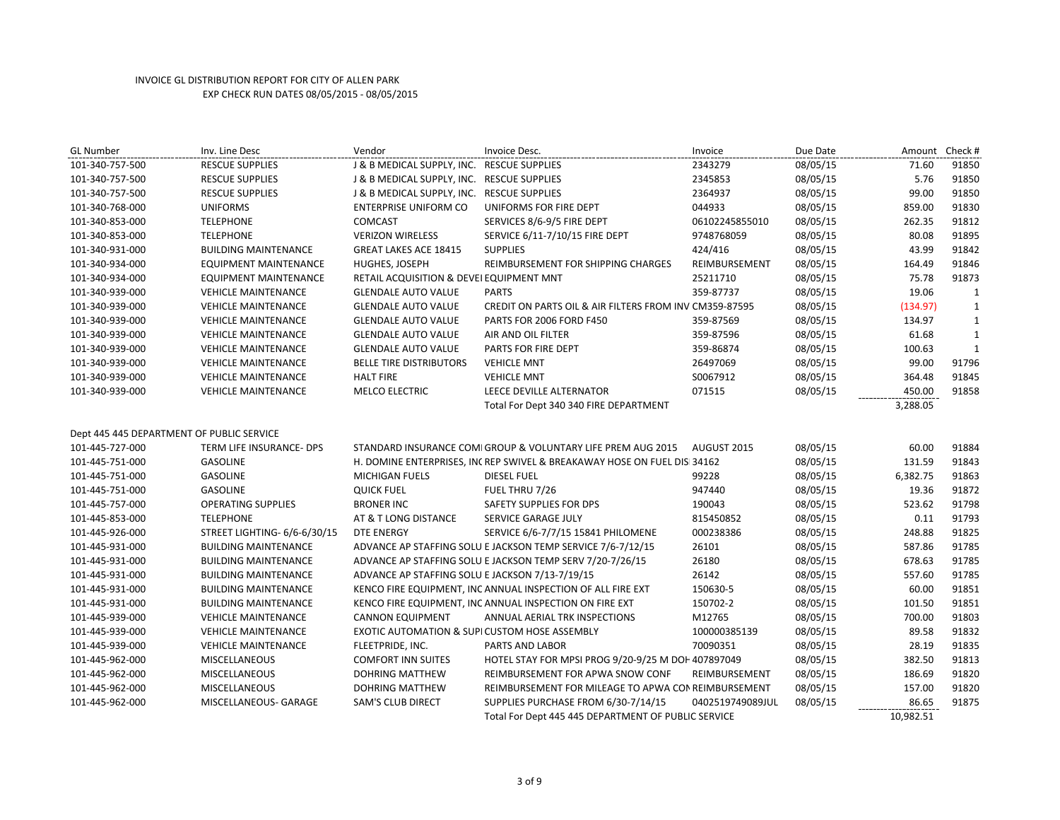| <b>GL Number</b>                          | Inv. Line Desc               | Vendor                                          | Invoice Desc.                                                           | Invoice          | Due Date | Amount Check # |              |
|-------------------------------------------|------------------------------|-------------------------------------------------|-------------------------------------------------------------------------|------------------|----------|----------------|--------------|
| 101-340-757-500                           | <b>RESCUE SUPPLIES</b>       | J & B MEDICAL SUPPLY, INC. RESCUE SUPPLIES      |                                                                         | 2343279          | 08/05/15 | 71.60          | 91850        |
| 101-340-757-500                           | <b>RESCUE SUPPLIES</b>       | J & B MEDICAL SUPPLY, INC. RESCUE SUPPLIES      |                                                                         | 2345853          | 08/05/15 | 5.76           | 91850        |
| 101-340-757-500                           | <b>RESCUE SUPPLIES</b>       | J & B MEDICAL SUPPLY, INC. RESCUE SUPPLIES      |                                                                         | 2364937          | 08/05/15 | 99.00          | 91850        |
| 101-340-768-000                           | <b>UNIFORMS</b>              | <b>ENTERPRISE UNIFORM CO</b>                    | UNIFORMS FOR FIRE DEPT                                                  | 044933           | 08/05/15 | 859.00         | 91830        |
| 101-340-853-000                           | <b>TELEPHONE</b>             | COMCAST                                         | SERVICES 8/6-9/5 FIRE DEPT                                              | 06102245855010   | 08/05/15 | 262.35         | 91812        |
| 101-340-853-000                           | <b>TELEPHONE</b>             | <b>VERIZON WIRELESS</b>                         | SERVICE 6/11-7/10/15 FIRE DEPT                                          | 9748768059       | 08/05/15 | 80.08          | 91895        |
| 101-340-931-000                           | <b>BUILDING MAINTENANCE</b>  | <b>GREAT LAKES ACE 18415</b>                    | <b>SUPPLIES</b>                                                         | 424/416          | 08/05/15 | 43.99          | 91842        |
| 101-340-934-000                           | EQUIPMENT MAINTENANCE        | HUGHES, JOSEPH                                  | REIMBURSEMENT FOR SHIPPING CHARGES                                      | REIMBURSEMENT    | 08/05/15 | 164.49         | 91846        |
| 101-340-934-000                           | EQUIPMENT MAINTENANCE        | RETAIL ACQUISITION & DEVEI EQUIPMENT MNT        |                                                                         | 25211710         | 08/05/15 | 75.78          | 91873        |
| 101-340-939-000                           | <b>VEHICLE MAINTENANCE</b>   | <b>GLENDALE AUTO VALUE</b>                      | <b>PARTS</b>                                                            | 359-87737        | 08/05/15 | 19.06          | 1            |
| 101-340-939-000                           | <b>VEHICLE MAINTENANCE</b>   | <b>GLENDALE AUTO VALUE</b>                      | CREDIT ON PARTS OIL & AIR FILTERS FROM INV CM359-87595                  |                  | 08/05/15 | (134.97)       | $\mathbf{1}$ |
| 101-340-939-000                           | <b>VEHICLE MAINTENANCE</b>   | <b>GLENDALE AUTO VALUE</b>                      | PARTS FOR 2006 FORD F450                                                | 359-87569        | 08/05/15 | 134.97         | $\mathbf{1}$ |
| 101-340-939-000                           | <b>VEHICLE MAINTENANCE</b>   | <b>GLENDALE AUTO VALUE</b>                      | AIR AND OIL FILTER                                                      | 359-87596        | 08/05/15 | 61.68          | $\mathbf{1}$ |
| 101-340-939-000                           | <b>VEHICLE MAINTENANCE</b>   | <b>GLENDALE AUTO VALUE</b>                      | <b>PARTS FOR FIRE DEPT</b>                                              | 359-86874        | 08/05/15 | 100.63         | $\mathbf{1}$ |
| 101-340-939-000                           | <b>VEHICLE MAINTENANCE</b>   | <b>BELLE TIRE DISTRIBUTORS</b>                  | <b>VEHICLE MNT</b>                                                      | 26497069         | 08/05/15 | 99.00          | 91796        |
| 101-340-939-000                           | <b>VEHICLE MAINTENANCE</b>   | <b>HALT FIRE</b>                                | <b>VEHICLE MNT</b>                                                      | S0067912         | 08/05/15 | 364.48         | 91845        |
| 101-340-939-000                           | <b>VEHICLE MAINTENANCE</b>   | MELCO ELECTRIC                                  | LEECE DEVILLE ALTERNATOR                                                | 071515           | 08/05/15 | 450.00         | 91858        |
|                                           |                              |                                                 | Total For Dept 340 340 FIRE DEPARTMENT                                  |                  |          | 3,288.05       |              |
|                                           |                              |                                                 |                                                                         |                  |          |                |              |
| Dept 445 445 DEPARTMENT OF PUBLIC SERVICE |                              |                                                 |                                                                         |                  |          |                |              |
| 101-445-727-000                           | TERM LIFE INSURANCE- DPS     |                                                 | STANDARD INSURANCE COMI GROUP & VOLUNTARY LIFE PREM AUG 2015            | AUGUST 2015      | 08/05/15 | 60.00          | 91884        |
| 101-445-751-000                           | <b>GASOLINE</b>              |                                                 | H. DOMINE ENTERPRISES, INCREP SWIVEL & BREAKAWAY HOSE ON FUEL DIS 34162 |                  | 08/05/15 | 131.59         | 91843        |
| 101-445-751-000                           | <b>GASOLINE</b>              | MICHIGAN FUELS                                  | <b>DIESEL FUEL</b>                                                      | 99228            | 08/05/15 | 6,382.75       | 91863        |
| 101-445-751-000                           | <b>GASOLINE</b>              | <b>QUICK FUEL</b>                               | FUEL THRU 7/26                                                          | 947440           | 08/05/15 | 19.36          | 91872        |
| 101-445-757-000                           | <b>OPERATING SUPPLIES</b>    | <b>BRONER INC</b>                               | SAFETY SUPPLIES FOR DPS                                                 | 190043           | 08/05/15 | 523.62         | 91798        |
| 101-445-853-000                           | <b>TELEPHONE</b>             | AT & T LONG DISTANCE                            | SERVICE GARAGE JULY                                                     | 815450852        | 08/05/15 | 0.11           | 91793        |
| 101-445-926-000                           | STREET LIGHTING- 6/6-6/30/15 | <b>DTE ENERGY</b>                               | SERVICE 6/6-7/7/15 15841 PHILOMENE                                      | 000238386        | 08/05/15 | 248.88         | 91825        |
| 101-445-931-000                           | <b>BUILDING MAINTENANCE</b>  |                                                 | ADVANCE AP STAFFING SOLU E JACKSON TEMP SERVICE 7/6-7/12/15             | 26101            | 08/05/15 | 587.86         | 91785        |
| 101-445-931-000                           | <b>BUILDING MAINTENANCE</b>  |                                                 | ADVANCE AP STAFFING SOLU E JACKSON TEMP SERV 7/20-7/26/15               | 26180            | 08/05/15 | 678.63         | 91785        |
| 101-445-931-000                           | <b>BUILDING MAINTENANCE</b>  | ADVANCE AP STAFFING SOLU E JACKSON 7/13-7/19/15 |                                                                         | 26142            | 08/05/15 | 557.60         | 91785        |
| 101-445-931-000                           | <b>BUILDING MAINTENANCE</b>  |                                                 | KENCO FIRE EQUIPMENT, INC ANNUAL INSPECTION OF ALL FIRE EXT             | 150630-5         | 08/05/15 | 60.00          | 91851        |
| 101-445-931-000                           | <b>BUILDING MAINTENANCE</b>  |                                                 | KENCO FIRE EQUIPMENT, INC ANNUAL INSPECTION ON FIRE EXT                 | 150702-2         | 08/05/15 | 101.50         | 91851        |
| 101-445-939-000                           | <b>VEHICLE MAINTENANCE</b>   | <b>CANNON EQUIPMENT</b>                         | ANNUAL AERIAL TRK INSPECTIONS                                           | M12765           | 08/05/15 | 700.00         | 91803        |
| 101-445-939-000                           | <b>VEHICLE MAINTENANCE</b>   | EXOTIC AUTOMATION & SUPICUSTOM HOSE ASSEMBLY    |                                                                         | 100000385139     | 08/05/15 | 89.58          | 91832        |
| 101-445-939-000                           | <b>VEHICLE MAINTENANCE</b>   | FLEETPRIDE, INC.                                | PARTS AND LABOR                                                         | 70090351         | 08/05/15 | 28.19          | 91835        |
| 101-445-962-000                           | <b>MISCELLANEOUS</b>         | <b>COMFORT INN SUITES</b>                       | HOTEL STAY FOR MPSI PROG 9/20-9/25 M DOH 407897049                      |                  | 08/05/15 | 382.50         | 91813        |
| 101-445-962-000                           | <b>MISCELLANEOUS</b>         | DOHRING MATTHEW                                 | REIMBURSEMENT FOR APWA SNOW CONF                                        | REIMBURSEMENT    | 08/05/15 | 186.69         | 91820        |
| 101-445-962-000                           | <b>MISCELLANEOUS</b>         | DOHRING MATTHEW                                 | REIMBURSEMENT FOR MILEAGE TO APWA CON REIMBURSEMENT                     |                  | 08/05/15 | 157.00         | 91820        |
| 101-445-962-000                           | MISCELLANEOUS- GARAGE        | <b>SAM'S CLUB DIRECT</b>                        | SUPPLIES PURCHASE FROM 6/30-7/14/15                                     | 0402519749089JUL | 08/05/15 | 86.65          | 91875        |
|                                           |                              |                                                 | Total For Dept 445 445 DEPARTMENT OF PUBLIC SERVICE                     |                  |          | 10,982.51      |              |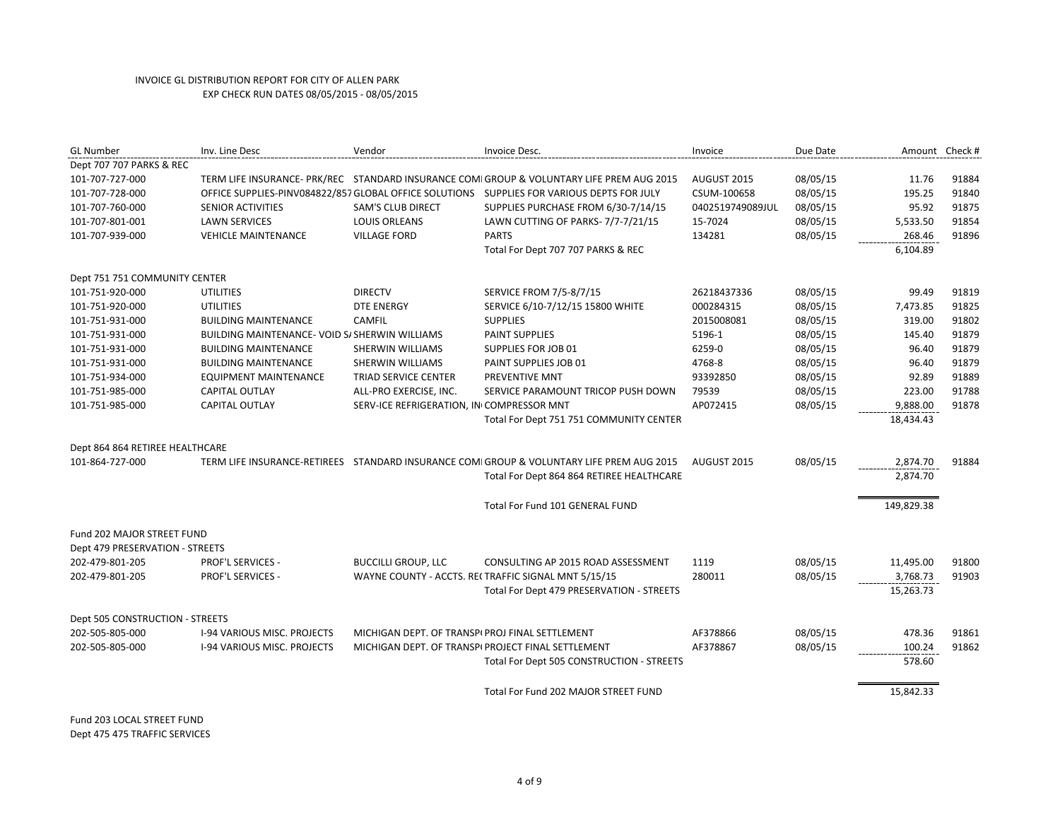| <b>GL Number</b>                  | Inv. Line Desc                                        | Vendor                                          | Invoice Desc.                                                                               | Invoice          | Due Date | Amount Check # |       |
|-----------------------------------|-------------------------------------------------------|-------------------------------------------------|---------------------------------------------------------------------------------------------|------------------|----------|----------------|-------|
| Dept 707 707 PARKS & REC          |                                                       |                                                 |                                                                                             |                  |          |                |       |
| 101-707-727-000                   |                                                       |                                                 | TERM LIFE INSURANCE- PRK/REC STANDARD INSURANCE COMI GROUP & VOLUNTARY LIFE PREM AUG 2015   | AUGUST 2015      | 08/05/15 | 11.76          | 91884 |
| 101-707-728-000                   |                                                       |                                                 | OFFICE SUPPLIES-PINV084822/857 GLOBAL OFFICE SOLUTIONS  SUPPLIES FOR VARIOUS DEPTS FOR JULY | CSUM-100658      | 08/05/15 | 195.25         | 91840 |
| 101-707-760-000                   | SENIOR ACTIVITIES                                     | <b>SAM'S CLUB DIRECT</b>                        | SUPPLIES PURCHASE FROM 6/30-7/14/15                                                         | 0402519749089JUL | 08/05/15 | 95.92          | 91875 |
| 101-707-801-001                   | <b>LAWN SERVICES</b>                                  | <b>LOUIS ORLEANS</b>                            | LAWN CUTTING OF PARKS- 7/7-7/21/15                                                          | 15-7024          | 08/05/15 | 5,533.50       | 91854 |
| 101-707-939-000                   | <b>VEHICLE MAINTENANCE</b>                            | <b>VILLAGE FORD</b>                             | <b>PARTS</b>                                                                                | 134281           | 08/05/15 | 268.46         | 91896 |
|                                   |                                                       |                                                 | Total For Dept 707 707 PARKS & REC                                                          |                  |          | 6,104.89       |       |
| Dept 751 751 COMMUNITY CENTER     |                                                       |                                                 |                                                                                             |                  |          |                |       |
| 101-751-920-000                   | <b>UTILITIES</b>                                      | <b>DIRECTV</b>                                  | <b>SERVICE FROM 7/5-8/7/15</b>                                                              | 26218437336      | 08/05/15 | 99.49          | 91819 |
| 101-751-920-000                   | <b>UTILITIES</b>                                      | <b>DTE ENERGY</b>                               | SERVICE 6/10-7/12/15 15800 WHITE                                                            | 000284315        | 08/05/15 | 7,473.85       | 91825 |
| 101-751-931-000                   | <b>BUILDING MAINTENANCE</b>                           | <b>CAMFIL</b>                                   | <b>SUPPLIES</b>                                                                             | 2015008081       | 08/05/15 | 319.00         | 91802 |
| 101-751-931-000                   | <b>BUILDING MAINTENANCE- VOID S/ SHERWIN WILLIAMS</b> |                                                 | <b>PAINT SUPPLIES</b>                                                                       | 5196-1           | 08/05/15 | 145.40         | 91879 |
| 101-751-931-000                   | <b>BUILDING MAINTENANCE</b>                           | SHERWIN WILLIAMS                                | SUPPLIES FOR JOB 01                                                                         | 6259-0           | 08/05/15 | 96.40          | 91879 |
| 101-751-931-000                   | <b>BUILDING MAINTENANCE</b>                           | <b>SHERWIN WILLIAMS</b>                         | PAINT SUPPLIES JOB 01                                                                       | 4768-8           | 08/05/15 | 96.40          | 91879 |
| 101-751-934-000                   | <b>EQUIPMENT MAINTENANCE</b>                          | TRIAD SERVICE CENTER                            | PREVENTIVE MNT                                                                              | 93392850         | 08/05/15 | 92.89          | 91889 |
| 101-751-985-000                   | CAPITAL OUTLAY                                        | ALL-PRO EXERCISE, INC.                          | SERVICE PARAMOUNT TRICOP PUSH DOWN                                                          | 79539            | 08/05/15 | 223.00         | 91788 |
| 101-751-985-000                   | CAPITAL OUTLAY                                        | SERV-ICE REFRIGERATION, IN COMPRESSOR MNT       |                                                                                             | AP072415         | 08/05/15 | 9,888.00       | 91878 |
|                                   |                                                       |                                                 | Total For Dept 751 751 COMMUNITY CENTER                                                     |                  |          | 18,434.43      |       |
| Dept 864 864 RETIREE HEALTHCARE   |                                                       |                                                 |                                                                                             |                  |          |                |       |
| 101-864-727-000                   | TERM LIFE INSURANCE-RETIREES                          |                                                 | STANDARD INSURANCE COMI GROUP & VOLUNTARY LIFE PREM AUG 2015                                | AUGUST 2015      | 08/05/15 | 2,874.70       | 91884 |
|                                   |                                                       |                                                 | Total For Dept 864 864 RETIREE HEALTHCARE                                                   |                  |          | 2,874.70       |       |
|                                   |                                                       |                                                 |                                                                                             |                  |          |                |       |
|                                   |                                                       |                                                 | Total For Fund 101 GENERAL FUND                                                             |                  |          | 149,829.38     |       |
| <b>Fund 202 MAJOR STREET FUND</b> |                                                       |                                                 |                                                                                             |                  |          |                |       |
| Dept 479 PRESERVATION - STREETS   |                                                       |                                                 |                                                                                             |                  |          |                |       |
| 202-479-801-205                   | <b>PROF'L SERVICES -</b>                              | <b>BUCCILLI GROUP, LLC</b>                      | CONSULTING AP 2015 ROAD ASSESSMENT                                                          | 1119             | 08/05/15 | 11,495.00      | 91800 |
| 202-479-801-205                   | <b>PROF'L SERVICES -</b>                              |                                                 | WAYNE COUNTY - ACCTS. RECTRAFFIC SIGNAL MNT 5/15/15                                         | 280011           | 08/05/15 | 3,768.73       | 91903 |
|                                   |                                                       |                                                 | Total For Dept 479 PRESERVATION - STREETS                                                   |                  |          | 15,263.73      |       |
| Dept 505 CONSTRUCTION - STREETS   |                                                       |                                                 |                                                                                             |                  |          |                |       |
| 202-505-805-000                   | I-94 VARIOUS MISC. PROJECTS                           | MICHIGAN DEPT. OF TRANSPI PROJ FINAL SETTLEMENT |                                                                                             | AF378866         | 08/05/15 | 478.36         | 91861 |
| 202-505-805-000                   | <b>I-94 VARIOUS MISC. PROJECTS</b>                    |                                                 | MICHIGAN DEPT. OF TRANSPI PROJECT FINAL SETTLEMENT                                          | AF378867         | 08/05/15 | 100.24         | 91862 |
|                                   |                                                       |                                                 | Total For Dept 505 CONSTRUCTION - STREETS                                                   |                  |          | 578.60         |       |
|                                   |                                                       |                                                 | Total For Fund 202 MAJOR STREET FUND                                                        |                  |          | 15,842.33      |       |
|                                   |                                                       |                                                 |                                                                                             |                  |          |                |       |

Fund 203 LOCAL STREET FUND Dept 475 475 TRAFFIC SERVICES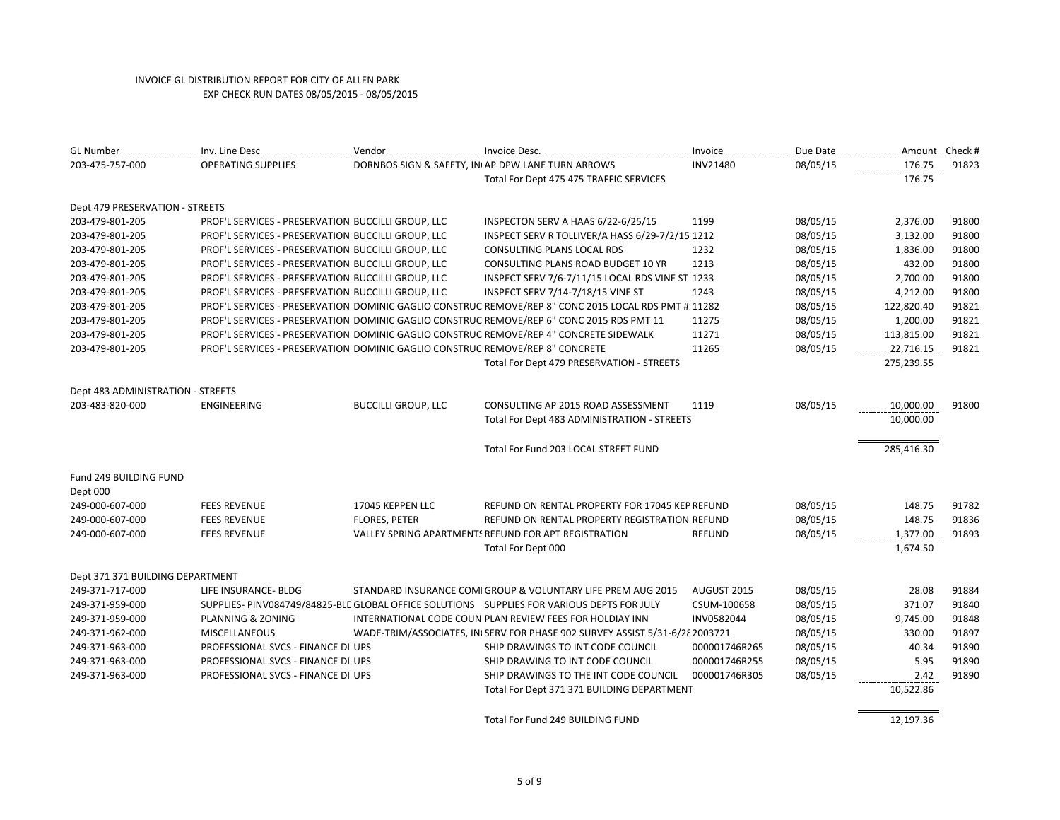| <b>GL Number</b>                  | Inv. Line Desc                                                                | Vendor                     | Invoice Desc.                                                                                        | Invoice       | Due Date |            | Amount Check # |
|-----------------------------------|-------------------------------------------------------------------------------|----------------------------|------------------------------------------------------------------------------------------------------|---------------|----------|------------|----------------|
| 203-475-757-000                   | <b>OPERATING SUPPLIES</b>                                                     |                            | DORNBOS SIGN & SAFETY, INI AP DPW LANE TURN ARROWS                                                   | INV21480      | 08/05/15 | 176.75     | 91823          |
|                                   |                                                                               |                            | Total For Dept 475 475 TRAFFIC SERVICES                                                              |               |          | 176.75     |                |
| Dept 479 PRESERVATION - STREETS   |                                                                               |                            |                                                                                                      |               |          |            |                |
| 203-479-801-205                   | PROF'L SERVICES - PRESERVATION BUCCILLI GROUP, LLC                            |                            | INSPECTON SERV A HAAS 6/22-6/25/15                                                                   | 1199          | 08/05/15 | 2,376.00   | 91800          |
| 203-479-801-205                   | PROF'L SERVICES - PRESERVATION BUCCILLI GROUP, LLC                            |                            | INSPECT SERV R TOLLIVER/A HASS 6/29-7/2/15 1212                                                      |               | 08/05/15 | 3,132.00   | 91800          |
| 203-479-801-205                   | PROF'L SERVICES - PRESERVATION BUCCILLI GROUP, LLC                            |                            | CONSULTING PLANS LOCAL RDS                                                                           | 1232          | 08/05/15 | 1,836.00   | 91800          |
| 203-479-801-205                   | PROF'L SERVICES - PRESERVATION BUCCILLI GROUP, LLC                            |                            | CONSULTING PLANS ROAD BUDGET 10 YR                                                                   | 1213          | 08/05/15 | 432.00     | 91800          |
| 203-479-801-205                   | PROF'L SERVICES - PRESERVATION BUCCILLI GROUP, LLC                            |                            | INSPECT SERV 7/6-7/11/15 LOCAL RDS VINE ST 1233                                                      |               | 08/05/15 | 2,700.00   | 91800          |
| 203-479-801-205                   | PROF'L SERVICES - PRESERVATION BUCCILLI GROUP, LLC                            |                            | INSPECT SERV 7/14-7/18/15 VINE ST                                                                    | 1243          | 08/05/15 | 4,212.00   | 91800          |
| 203-479-801-205                   |                                                                               |                            | PROF'L SERVICES - PRESERVATION DOMINIC GAGLIO CONSTRUC REMOVE/REP 8" CONC 2015 LOCAL RDS PMT # 11282 |               | 08/05/15 | 122,820.40 | 91821          |
| 203-479-801-205                   |                                                                               |                            | PROF'L SERVICES - PRESERVATION DOMINIC GAGLIO CONSTRUC REMOVE/REP 6" CONC 2015 RDS PMT 11            | 11275         | 08/05/15 | 1,200.00   | 91821          |
| 203-479-801-205                   |                                                                               |                            | PROF'L SERVICES - PRESERVATION DOMINIC GAGLIO CONSTRUC REMOVE/REP 4" CONCRETE SIDEWALK               | 11271         | 08/05/15 | 113,815.00 | 91821          |
| 203-479-801-205                   | PROF'L SERVICES - PRESERVATION DOMINIC GAGLIO CONSTRUC REMOVE/REP 8" CONCRETE |                            |                                                                                                      | 11265         | 08/05/15 | 22,716.15  | 91821          |
|                                   |                                                                               |                            | Total For Dept 479 PRESERVATION - STREETS                                                            |               |          | 275,239.55 |                |
| Dept 483 ADMINISTRATION - STREETS |                                                                               |                            |                                                                                                      |               |          |            |                |
| 203-483-820-000                   | <b>ENGINEERING</b>                                                            | <b>BUCCILLI GROUP, LLC</b> | CONSULTING AP 2015 ROAD ASSESSMENT                                                                   | 1119          | 08/05/15 | 10,000.00  | 91800          |
|                                   |                                                                               |                            | Total For Dept 483 ADMINISTRATION - STREETS                                                          |               |          | 10,000.00  |                |
|                                   |                                                                               |                            | Total For Fund 203 LOCAL STREET FUND                                                                 |               |          | 285,416.30 |                |
| Fund 249 BUILDING FUND            |                                                                               |                            |                                                                                                      |               |          |            |                |
| Dept 000                          |                                                                               |                            |                                                                                                      |               |          |            |                |
| 249-000-607-000                   | <b>FEES REVENUE</b>                                                           | 17045 KEPPEN LLC           | REFUND ON RENTAL PROPERTY FOR 17045 KEP REFUND                                                       |               | 08/05/15 | 148.75     | 91782          |
| 249-000-607-000                   | <b>FEES REVENUE</b>                                                           | <b>FLORES, PETER</b>       | REFUND ON RENTAL PROPERTY REGISTRATION REFUND                                                        |               | 08/05/15 | 148.75     | 91836          |
| 249-000-607-000                   | <b>FEES REVENUE</b>                                                           |                            | VALLEY SPRING APARTMENTS REFUND FOR APT REGISTRATION                                                 | <b>REFUND</b> | 08/05/15 | 1,377.00   | 91893          |
|                                   |                                                                               |                            | Total For Dept 000                                                                                   |               |          | 1,674.50   |                |
| Dept 371 371 BUILDING DEPARTMENT  |                                                                               |                            |                                                                                                      |               |          |            |                |
| 249-371-717-000                   | LIFE INSURANCE- BLDG                                                          |                            | STANDARD INSURANCE COMI GROUP & VOLUNTARY LIFE PREM AUG 2015                                         | AUGUST 2015   | 08/05/15 | 28.08      | 91884          |
| 249-371-959-000                   |                                                                               |                            | SUPPLIES- PINV084749/84825-BLC GLOBAL OFFICE SOLUTIONS SUPPLIES FOR VARIOUS DEPTS FOR JULY           | CSUM-100658   | 08/05/15 | 371.07     | 91840          |
| 249-371-959-000                   | PLANNING & ZONING                                                             |                            | INTERNATIONAL CODE COUN PLAN REVIEW FEES FOR HOLDIAY INN                                             | INV0582044    | 08/05/15 | 9,745.00   | 91848          |
| 249-371-962-000                   | <b>MISCELLANEOUS</b>                                                          |                            | WADE-TRIM/ASSOCIATES, IN SERV FOR PHASE 902 SURVEY ASSIST 5/31-6/28 2003721                          |               | 08/05/15 | 330.00     | 91897          |
| 249-371-963-000                   | PROFESSIONAL SVCS - FINANCE DII UPS                                           |                            | SHIP DRAWINGS TO INT CODE COUNCIL                                                                    | 000001746R265 | 08/05/15 | 40.34      | 91890          |
| 249-371-963-000                   | PROFESSIONAL SVCS - FINANCE DII UPS                                           |                            | SHIP DRAWING TO INT CODE COUNCIL                                                                     | 000001746R255 | 08/05/15 | 5.95       | 91890          |
| 249-371-963-000                   | PROFESSIONAL SVCS - FINANCE DII UPS                                           |                            | SHIP DRAWINGS TO THE INT CODE COUNCIL                                                                | 000001746R305 | 08/05/15 | 2.42       | 91890          |
|                                   |                                                                               |                            | Total For Dept 371 371 BUILDING DEPARTMENT                                                           |               |          | 10,522.86  |                |
|                                   |                                                                               |                            | Total For Fund 249 BUILDING FUND                                                                     |               |          | 12,197.36  |                |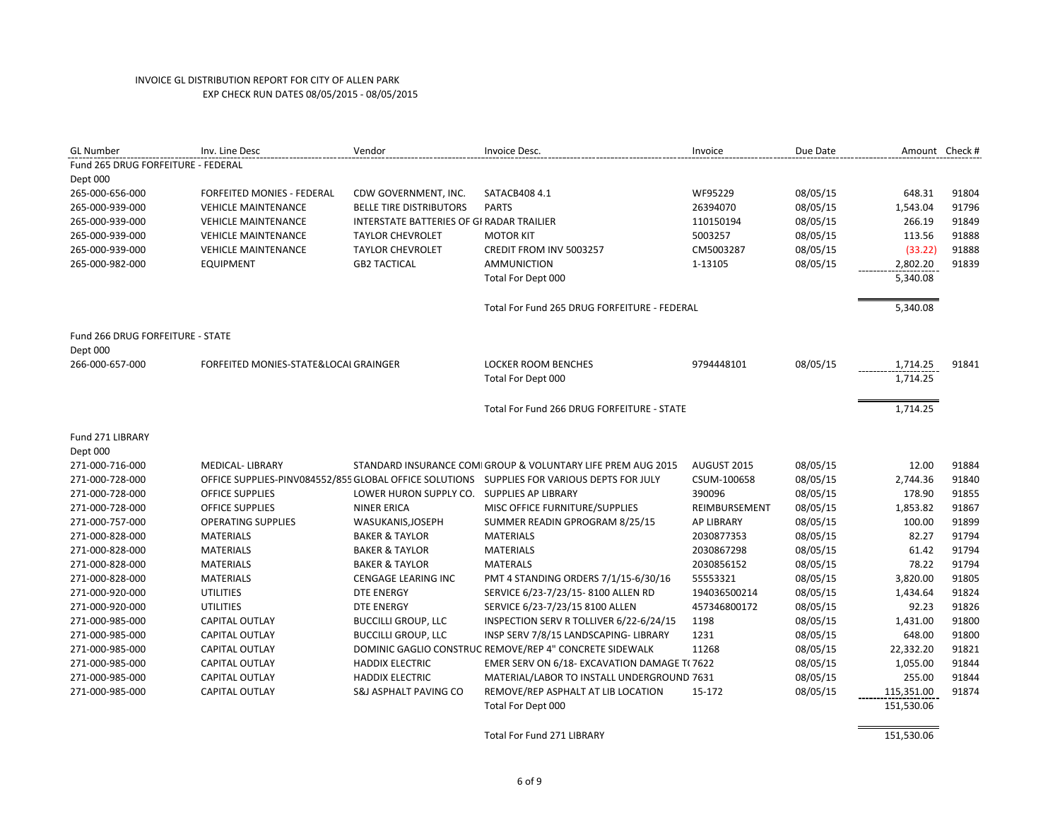| <b>GL Number</b>                   | Inv. Line Desc                        | Vendor                                           | Invoice Desc.                                                                              | Invoice       | Due Date | Amount Check # |       |
|------------------------------------|---------------------------------------|--------------------------------------------------|--------------------------------------------------------------------------------------------|---------------|----------|----------------|-------|
| Fund 265 DRUG FORFEITURE - FEDERAL |                                       |                                                  |                                                                                            |               |          |                |       |
| Dept 000                           |                                       |                                                  |                                                                                            |               |          |                |       |
| 265-000-656-000                    | FORFEITED MONIES - FEDERAL            | CDW GOVERNMENT, INC.                             | SATACB408 4.1                                                                              | WF95229       | 08/05/15 | 648.31         | 91804 |
| 265-000-939-000                    | <b>VEHICLE MAINTENANCE</b>            | <b>BELLE TIRE DISTRIBUTORS</b>                   | <b>PARTS</b>                                                                               | 26394070      | 08/05/15 | 1,543.04       | 91796 |
| 265-000-939-000                    | <b>VEHICLE MAINTENANCE</b>            | <b>INTERSTATE BATTERIES OF GI RADAR TRAILIER</b> |                                                                                            | 110150194     | 08/05/15 | 266.19         | 91849 |
| 265-000-939-000                    | <b>VEHICLE MAINTENANCE</b>            | <b>TAYLOR CHEVROLET</b>                          | <b>MOTOR KIT</b>                                                                           | 5003257       | 08/05/15 | 113.56         | 91888 |
| 265-000-939-000                    | <b>VEHICLE MAINTENANCE</b>            | <b>TAYLOR CHEVROLET</b>                          | CREDIT FROM INV 5003257                                                                    | CM5003287     | 08/05/15 | (33.22)        | 91888 |
| 265-000-982-000                    | <b>EQUIPMENT</b>                      | <b>GB2 TACTICAL</b>                              | <b>AMMUNICTION</b>                                                                         | 1-13105       | 08/05/15 | 2,802.20       | 91839 |
|                                    |                                       |                                                  | Total For Dept 000                                                                         |               |          | 5,340.08       |       |
|                                    |                                       |                                                  | Total For Fund 265 DRUG FORFEITURE - FEDERAL                                               |               |          | 5,340.08       |       |
| Fund 266 DRUG FORFEITURE - STATE   |                                       |                                                  |                                                                                            |               |          |                |       |
| Dept 000                           |                                       |                                                  |                                                                                            |               |          |                |       |
| 266-000-657-000                    | FORFEITED MONIES-STATE&LOCAI GRAINGER |                                                  | <b>LOCKER ROOM BENCHES</b>                                                                 | 9794448101    | 08/05/15 | 1,714.25       | 91841 |
|                                    |                                       |                                                  | Total For Dept 000                                                                         |               |          | 1,714.25       |       |
|                                    |                                       |                                                  | Total For Fund 266 DRUG FORFEITURE - STATE                                                 |               |          | 1,714.25       |       |
| Fund 271 LIBRARY                   |                                       |                                                  |                                                                                            |               |          |                |       |
| Dept 000                           |                                       |                                                  |                                                                                            |               |          |                |       |
| 271-000-716-000                    | <b>MEDICAL-LIBRARY</b>                |                                                  | STANDARD INSURANCE COMI GROUP & VOLUNTARY LIFE PREM AUG 2015                               | AUGUST 2015   | 08/05/15 | 12.00          | 91884 |
| 271-000-728-000                    |                                       |                                                  | OFFICE SUPPLIES-PINV084552/855 GLOBAL OFFICE SOLUTIONS SUPPLIES FOR VARIOUS DEPTS FOR JULY | CSUM-100658   | 08/05/15 | 2,744.36       | 91840 |
| 271-000-728-000                    | <b>OFFICE SUPPLIES</b>                | LOWER HURON SUPPLY CO. SUPPLIES AP LIBRARY       |                                                                                            | 390096        | 08/05/15 | 178.90         | 91855 |
| 271-000-728-000                    | <b>OFFICE SUPPLIES</b>                | <b>NINER ERICA</b>                               | MISC OFFICE FURNITURE/SUPPLIES                                                             | REIMBURSEMENT | 08/05/15 | 1,853.82       | 91867 |
| 271-000-757-000                    | <b>OPERATING SUPPLIES</b>             | WASUKANIS, JOSEPH                                | SUMMER READIN GPROGRAM 8/25/15                                                             | AP LIBRARY    | 08/05/15 | 100.00         | 91899 |
| 271-000-828-000                    | <b>MATERIALS</b>                      | <b>BAKER &amp; TAYLOR</b>                        | <b>MATERIALS</b>                                                                           | 2030877353    | 08/05/15 | 82.27          | 91794 |
| 271-000-828-000                    | <b>MATERIALS</b>                      | <b>BAKER &amp; TAYLOR</b>                        | <b>MATERIALS</b>                                                                           | 2030867298    | 08/05/15 | 61.42          | 91794 |
| 271-000-828-000                    | <b>MATERIALS</b>                      | <b>BAKER &amp; TAYLOR</b>                        | <b>MATERALS</b>                                                                            | 2030856152    | 08/05/15 | 78.22          | 91794 |
| 271-000-828-000                    | <b>MATERIALS</b>                      | <b>CENGAGE LEARING INC</b>                       | PMT 4 STANDING ORDERS 7/1/15-6/30/16                                                       | 55553321      | 08/05/15 | 3,820.00       | 91805 |
| 271-000-920-000                    | <b>UTILITIES</b>                      | <b>DTE ENERGY</b>                                | SERVICE 6/23-7/23/15-8100 ALLEN RD                                                         | 194036500214  | 08/05/15 | 1,434.64       | 91824 |
| 271-000-920-000                    | <b>UTILITIES</b>                      | <b>DTE ENERGY</b>                                | SERVICE 6/23-7/23/15 8100 ALLEN                                                            | 457346800172  | 08/05/15 | 92.23          | 91826 |
| 271-000-985-000                    | <b>CAPITAL OUTLAY</b>                 | <b>BUCCILLI GROUP, LLC</b>                       | INSPECTION SERV R TOLLIVER 6/22-6/24/15                                                    | 1198          | 08/05/15 | 1,431.00       | 91800 |
| 271-000-985-000                    | <b>CAPITAL OUTLAY</b>                 | <b>BUCCILLI GROUP, LLC</b>                       | INSP SERV 7/8/15 LANDSCAPING- LIBRARY                                                      | 1231          | 08/05/15 | 648.00         | 91800 |
| 271-000-985-000                    | <b>CAPITAL OUTLAY</b>                 |                                                  | DOMINIC GAGLIO CONSTRUC REMOVE/REP 4" CONCRETE SIDEWALK                                    | 11268         | 08/05/15 | 22,332.20      | 91821 |
| 271-000-985-000                    | <b>CAPITAL OUTLAY</b>                 | <b>HADDIX ELECTRIC</b>                           | EMER SERV ON 6/18- EXCAVATION DAMAGE T( 7622                                               |               | 08/05/15 | 1,055.00       | 91844 |
| 271-000-985-000                    | <b>CAPITAL OUTLAY</b>                 | <b>HADDIX ELECTRIC</b>                           | MATERIAL/LABOR TO INSTALL UNDERGROUND 7631                                                 |               | 08/05/15 | 255.00         | 91844 |
| 271-000-985-000                    | <b>CAPITAL OUTLAY</b>                 | S&J ASPHALT PAVING CO                            | REMOVE/REP ASPHALT AT LIB LOCATION                                                         | 15-172        | 08/05/15 | 115,351.00     | 91874 |
|                                    |                                       |                                                  | Total For Dept 000                                                                         |               |          | 151,530.06     |       |

Total For Fund 271 LIBRARY 151,530.06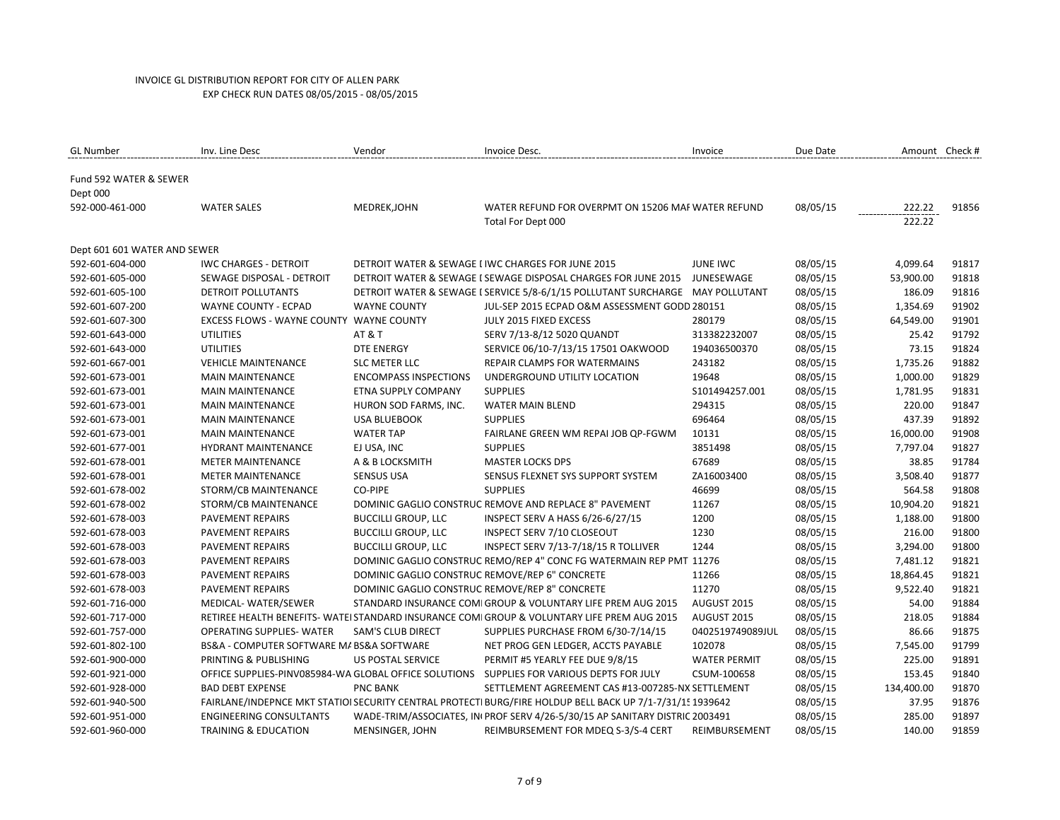| <b>GL Number</b>                   | Inv. Line Desc                                  | Vendor                       | Invoice Desc.                                                                                             | Invoice             | Due Date | Amount Check #   |       |
|------------------------------------|-------------------------------------------------|------------------------------|-----------------------------------------------------------------------------------------------------------|---------------------|----------|------------------|-------|
| Fund 592 WATER & SEWER<br>Dept 000 |                                                 |                              |                                                                                                           |                     |          |                  |       |
| 592-000-461-000                    | <b>WATER SALES</b>                              | MEDREK, JOHN                 | WATER REFUND FOR OVERPMT ON 15206 MAF WATER REFUND<br>Total For Dept 000                                  |                     | 08/05/15 | 222.22<br>222.22 | 91856 |
| Dept 601 601 WATER AND SEWER       |                                                 |                              |                                                                                                           |                     |          |                  |       |
| 592-601-604-000                    | <b>IWC CHARGES - DETROIT</b>                    |                              | DETROIT WATER & SEWAGE I IWC CHARGES FOR JUNE 2015                                                        | <b>JUNE IWC</b>     | 08/05/15 | 4,099.64         | 91817 |
| 592-601-605-000                    | SEWAGE DISPOSAL - DETROIT                       |                              | DETROIT WATER & SEWAGE I SEWAGE DISPOSAL CHARGES FOR JUNE 2015                                            | JUNESEWAGE          | 08/05/15 | 53,900.00        | 91818 |
| 592-601-605-100                    | DETROIT POLLUTANTS                              |                              | DETROIT WATER & SEWAGE I SERVICE 5/8-6/1/15 POLLUTANT SURCHARGE MAY POLLUTANT                             |                     | 08/05/15 | 186.09           | 91816 |
| 592-601-607-200                    | <b>WAYNE COUNTY - ECPAD</b>                     | <b>WAYNE COUNTY</b>          | JUL-SEP 2015 ECPAD O&M ASSESSMENT GODD 280151                                                             |                     | 08/05/15 | 1,354.69         | 91902 |
| 592-601-607-300                    | <b>EXCESS FLOWS - WAYNE COUNTY WAYNE COUNTY</b> |                              | JULY 2015 FIXED EXCESS                                                                                    | 280179              | 08/05/15 | 64,549.00        | 91901 |
| 592-601-643-000                    | <b>UTILITIES</b>                                | <b>AT &amp; T</b>            | SERV 7/13-8/12 5020 QUANDT                                                                                | 313382232007        | 08/05/15 | 25.42            | 91792 |
| 592-601-643-000                    | <b>UTILITIES</b>                                | <b>DTE ENERGY</b>            | SERVICE 06/10-7/13/15 17501 OAKWOOD                                                                       | 194036500370        | 08/05/15 | 73.15            | 91824 |
| 592-601-667-001                    | <b>VEHICLE MAINTENANCE</b>                      | <b>SLC METER LLC</b>         | REPAIR CLAMPS FOR WATERMAINS                                                                              | 243182              | 08/05/15 | 1,735.26         | 91882 |
| 592-601-673-001                    | <b>MAIN MAINTENANCE</b>                         | <b>ENCOMPASS INSPECTIONS</b> | UNDERGROUND UTILITY LOCATION                                                                              | 19648               | 08/05/15 | 1,000.00         | 91829 |
| 592-601-673-001                    | <b>MAIN MAINTENANCE</b>                         | ETNA SUPPLY COMPANY          | <b>SUPPLIES</b>                                                                                           | S101494257.001      | 08/05/15 | 1,781.95         | 91831 |
| 592-601-673-001                    | <b>MAIN MAINTENANCE</b>                         | HURON SOD FARMS, INC.        | WATER MAIN BLEND                                                                                          | 294315              | 08/05/15 | 220.00           | 91847 |
| 592-601-673-001                    | <b>MAIN MAINTENANCE</b>                         | <b>USA BLUEBOOK</b>          | <b>SUPPLIES</b>                                                                                           | 696464              | 08/05/15 | 437.39           | 91892 |
| 592-601-673-001                    | <b>MAIN MAINTENANCE</b>                         | <b>WATER TAP</b>             | FAIRLANE GREEN WM REPAI JOB QP-FGWM                                                                       | 10131               | 08/05/15 | 16,000.00        | 91908 |
| 592-601-677-001                    | <b>HYDRANT MAINTENANCE</b>                      | EJ USA, INC                  | <b>SUPPLIES</b>                                                                                           | 3851498             | 08/05/15 | 7,797.04         | 91827 |
| 592-601-678-001                    | <b>METER MAINTENANCE</b>                        | A & B LOCKSMITH              | <b>MASTER LOCKS DPS</b>                                                                                   | 67689               | 08/05/15 | 38.85            | 91784 |
| 592-601-678-001                    | <b>METER MAINTENANCE</b>                        | <b>SENSUS USA</b>            | SENSUS FLEXNET SYS SUPPORT SYSTEM                                                                         | ZA16003400          | 08/05/15 | 3,508.40         | 91877 |
| 592-601-678-002                    | STORM/CB MAINTENANCE                            | CO-PIPE                      | <b>SUPPLIES</b>                                                                                           | 46699               | 08/05/15 | 564.58           | 91808 |
| 592-601-678-002                    | STORM/CB MAINTENANCE                            |                              | DOMINIC GAGLIO CONSTRUC REMOVE AND REPLACE 8" PAVEMENT                                                    | 11267               | 08/05/15 | 10,904.20        | 91821 |
| 592-601-678-003                    | <b>PAVEMENT REPAIRS</b>                         | <b>BUCCILLI GROUP, LLC</b>   | INSPECT SERV A HASS 6/26-6/27/15                                                                          | 1200                | 08/05/15 | 1,188.00         | 91800 |
| 592-601-678-003                    | PAVEMENT REPAIRS                                | <b>BUCCILLI GROUP, LLC</b>   | INSPECT SERV 7/10 CLOSEOUT                                                                                | 1230                | 08/05/15 | 216.00           | 91800 |
| 592-601-678-003                    | PAVEMENT REPAIRS                                | <b>BUCCILLI GROUP, LLC</b>   | INSPECT SERV 7/13-7/18/15 R TOLLIVER                                                                      | 1244                | 08/05/15 | 3,294.00         | 91800 |
| 592-601-678-003                    | PAVEMENT REPAIRS                                |                              | DOMINIC GAGLIO CONSTRUC REMO/REP 4" CONC FG WATERMAIN REP PMT 11276                                       |                     | 08/05/15 | 7,481.12         | 91821 |
| 592-601-678-003                    | <b>PAVEMENT REPAIRS</b>                         |                              | DOMINIC GAGLIO CONSTRUC REMOVE/REP 6" CONCRETE                                                            | 11266               | 08/05/15 | 18,864.45        | 91821 |
| 592-601-678-003                    | PAVEMENT REPAIRS                                |                              | DOMINIC GAGLIO CONSTRUC REMOVE/REP 8" CONCRETE                                                            | 11270               | 08/05/15 | 9,522.40         | 91821 |
| 592-601-716-000                    | MEDICAL-WATER/SEWER                             |                              | STANDARD INSURANCE COMI GROUP & VOLUNTARY LIFE PREM AUG 2015                                              | AUGUST 2015         | 08/05/15 | 54.00            | 91884 |
| 592-601-717-000                    |                                                 |                              | RETIREE HEALTH BENEFITS- WATEI STANDARD INSURANCE COMI GROUP & VOLUNTARY LIFE PREM AUG 2015               | AUGUST 2015         | 08/05/15 | 218.05           | 91884 |
| 592-601-757-000                    | <b>OPERATING SUPPLIES- WATER</b>                | <b>SAM'S CLUB DIRECT</b>     | SUPPLIES PURCHASE FROM 6/30-7/14/15                                                                       | 0402519749089JUL    | 08/05/15 | 86.66            | 91875 |
| 592-601-802-100                    | BS&A - COMPUTER SOFTWARE M/ BS&A SOFTWARE       |                              | NET PROG GEN LEDGER, ACCTS PAYABLE                                                                        | 102078              | 08/05/15 | 7,545.00         | 91799 |
| 592-601-900-000                    | PRINTING & PUBLISHING                           | <b>US POSTAL SERVICE</b>     | PERMIT #5 YEARLY FEE DUE 9/8/15                                                                           | <b>WATER PERMIT</b> | 08/05/15 | 225.00           | 91891 |
| 592-601-921-000                    |                                                 |                              | OFFICE SUPPLIES-PINV085984-WA GLOBAL OFFICE SOLUTIONS SUPPLIES FOR VARIOUS DEPTS FOR JULY                 | CSUM-100658         | 08/05/15 | 153.45           | 91840 |
| 592-601-928-000                    | <b>BAD DEBT EXPENSE</b>                         | <b>PNC BANK</b>              | SETTLEMENT AGREEMENT CAS #13-007285-NX SETTLEMENT                                                         |                     | 08/05/15 | 134,400.00       | 91870 |
| 592-601-940-500                    |                                                 |                              | FAIRLANE/INDEPNCE MKT STATIOI SECURITY CENTRAL PROTECTI BURG/FIRE HOLDUP BELL BACK UP 7/1-7/31/15 1939642 |                     | 08/05/15 | 37.95            | 91876 |
| 592-601-951-000                    | <b>ENGINEERING CONSULTANTS</b>                  |                              | WADE-TRIM/ASSOCIATES, IN PROF SERV 4/26-5/30/15 AP SANITARY DISTRIC 2003491                               |                     | 08/05/15 | 285.00           | 91897 |
| 592-601-960-000                    | <b>TRAINING &amp; EDUCATION</b>                 | MENSINGER, JOHN              | REIMBURSEMENT FOR MDEQ S-3/S-4 CERT                                                                       | REIMBURSEMENT       | 08/05/15 | 140.00           | 91859 |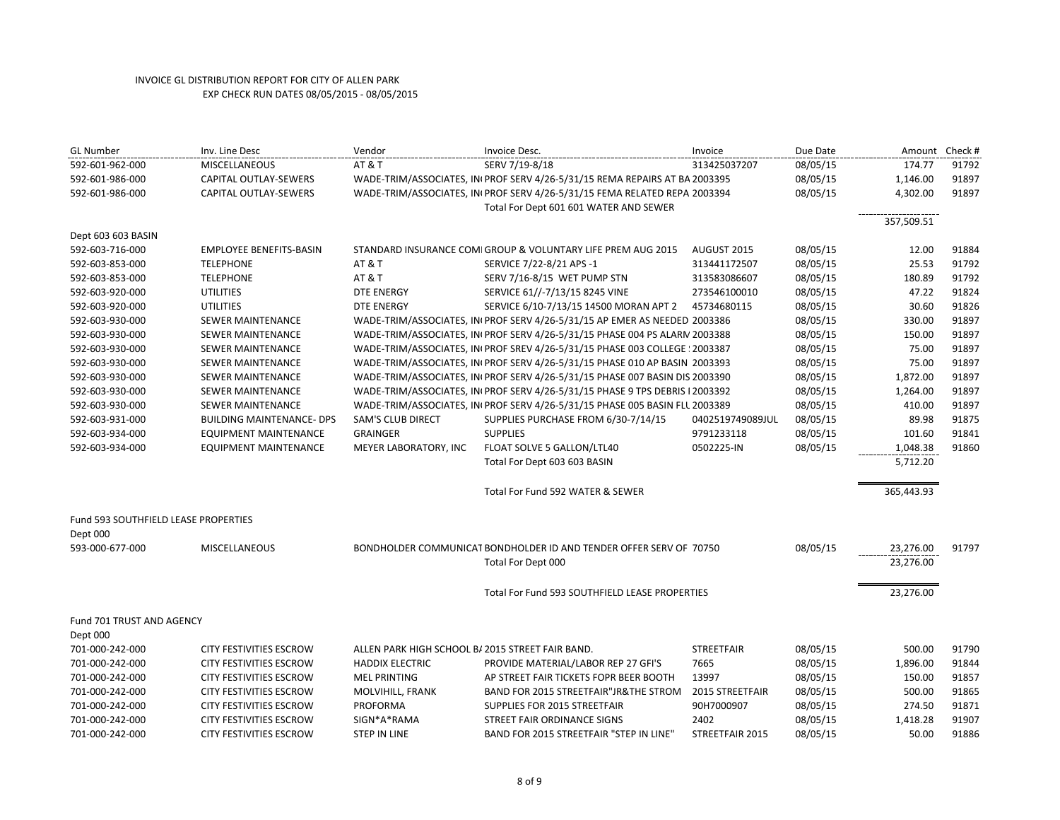| <b>GL Number</b>                     | Inv. Line Desc                   | Vendor                                           | Invoice Desc.                                                                                                       | Invoice           | Due Date | Amount     | Check # |
|--------------------------------------|----------------------------------|--------------------------------------------------|---------------------------------------------------------------------------------------------------------------------|-------------------|----------|------------|---------|
| 592-601-962-000                      | <b>MISCELLANEOUS</b>             | <b>AT &amp; T</b>                                | SERV 7/19-8/18                                                                                                      | 313425037207      | 08/05/15 | 174.77     | 91792   |
| 592-601-986-000                      | CAPITAL OUTLAY-SEWERS            |                                                  | WADE-TRIM/ASSOCIATES, INI PROF SERV 4/26-5/31/15 REMA REPAIRS AT BA 2003395                                         |                   | 08/05/15 | 1,146.00   | 91897   |
| 592-601-986-000                      | CAPITAL OUTLAY-SEWERS            |                                                  | WADE-TRIM/ASSOCIATES, IN PROF SERV 4/26-5/31/15 FEMA RELATED REPA 2003394<br>Total For Dept 601 601 WATER AND SEWER |                   | 08/05/15 | 4,302.00   | 91897   |
| Dept 603 603 BASIN                   |                                  |                                                  |                                                                                                                     |                   |          | 357,509.51 |         |
| 592-603-716-000                      | <b>EMPLOYEE BENEFITS-BASIN</b>   |                                                  | STANDARD INSURANCE COMI GROUP & VOLUNTARY LIFE PREM AUG 2015                                                        | AUGUST 2015       | 08/05/15 | 12.00      | 91884   |
| 592-603-853-000                      | <b>TELEPHONE</b>                 | <b>AT &amp; T</b>                                | SERVICE 7/22-8/21 APS -1                                                                                            | 313441172507      | 08/05/15 | 25.53      | 91792   |
| 592-603-853-000                      | <b>TELEPHONE</b>                 | <b>AT &amp; T</b>                                | SERV 7/16-8/15 WET PUMP STN                                                                                         | 313583086607      | 08/05/15 | 180.89     | 91792   |
| 592-603-920-000                      | <b>UTILITIES</b>                 | <b>DTE ENERGY</b>                                | SERVICE 61//-7/13/15 8245 VINE                                                                                      | 273546100010      | 08/05/15 | 47.22      | 91824   |
| 592-603-920-000                      | <b>UTILITIES</b>                 | <b>DTE ENERGY</b>                                | SERVICE 6/10-7/13/15 14500 MORAN APT 2                                                                              | 45734680115       | 08/05/15 | 30.60      | 91826   |
| 592-603-930-000                      | SEWER MAINTENANCE                |                                                  | WADE-TRIM/ASSOCIATES, IN PROF SERV 4/26-5/31/15 AP EMER AS NEEDED 2003386                                           |                   | 08/05/15 | 330.00     | 91897   |
| 592-603-930-000                      | SEWER MAINTENANCE                |                                                  | WADE-TRIM/ASSOCIATES, IN PROF SERV 4/26-5/31/15 PHASE 004 PS ALARN 2003388                                          |                   | 08/05/15 | 150.00     | 91897   |
| 592-603-930-000                      | <b>SEWER MAINTENANCE</b>         |                                                  | WADE-TRIM/ASSOCIATES, IN PROF SREV 4/26-5/31/15 PHASE 003 COLLEGE : 2003387                                         |                   | 08/05/15 | 75.00      | 91897   |
| 592-603-930-000                      | SEWER MAINTENANCE                |                                                  | WADE-TRIM/ASSOCIATES, IN PROF SERV 4/26-5/31/15 PHASE 010 AP BASIN 2003393                                          |                   | 08/05/15 | 75.00      | 91897   |
| 592-603-930-000                      | SEWER MAINTENANCE                |                                                  | WADE-TRIM/ASSOCIATES, IN PROF SERV 4/26-5/31/15 PHASE 007 BASIN DIS 2003390                                         |                   | 08/05/15 | 1,872.00   | 91897   |
| 592-603-930-000                      | SEWER MAINTENANCE                |                                                  | WADE-TRIM/ASSOCIATES, IN PROF SERV 4/26-5/31/15 PHASE 9 TPS DEBRIS I 2003392                                        |                   | 08/05/15 | 1,264.00   | 91897   |
| 592-603-930-000                      | SEWER MAINTENANCE                |                                                  | WADE-TRIM/ASSOCIATES, IN PROF SERV 4/26-5/31/15 PHASE 005 BASIN FLL 2003389                                         |                   | 08/05/15 | 410.00     | 91897   |
| 592-603-931-000                      | <b>BUILDING MAINTENANCE- DPS</b> | SAM'S CLUB DIRECT                                | SUPPLIES PURCHASE FROM 6/30-7/14/15                                                                                 | 0402519749089JUL  | 08/05/15 | 89.98      | 91875   |
| 592-603-934-000                      | EQUIPMENT MAINTENANCE            | <b>GRAINGER</b>                                  | <b>SUPPLIES</b>                                                                                                     | 9791233118        | 08/05/15 | 101.60     | 91841   |
| 592-603-934-000                      | <b>EQUIPMENT MAINTENANCE</b>     | MEYER LABORATORY, INC                            | FLOAT SOLVE 5 GALLON/LTL40                                                                                          | 0502225-IN        | 08/05/15 | 1,048.38   | 91860   |
|                                      |                                  |                                                  | Total For Dept 603 603 BASIN                                                                                        |                   |          | 5,712.20   |         |
|                                      |                                  |                                                  | Total For Fund 592 WATER & SEWER                                                                                    |                   |          | 365,443.93 |         |
| Fund 593 SOUTHFIELD LEASE PROPERTIES |                                  |                                                  |                                                                                                                     |                   |          |            |         |
| Dept 000                             |                                  |                                                  |                                                                                                                     |                   |          |            |         |
| 593-000-677-000                      | <b>MISCELLANEOUS</b>             |                                                  | BONDHOLDER COMMUNICAT BONDHOLDER ID AND TENDER OFFER SERV OF 70750                                                  |                   | 08/05/15 | 23,276.00  | 91797   |
|                                      |                                  |                                                  | Total For Dept 000                                                                                                  |                   |          | 23,276.00  |         |
|                                      |                                  |                                                  | Total For Fund 593 SOUTHFIELD LEASE PROPERTIES                                                                      |                   |          | 23,276.00  |         |
| Fund 701 TRUST AND AGENCY            |                                  |                                                  |                                                                                                                     |                   |          |            |         |
| Dept 000                             |                                  |                                                  |                                                                                                                     |                   |          |            |         |
| 701-000-242-000                      | <b>CITY FESTIVITIES ESCROW</b>   | ALLEN PARK HIGH SCHOOL B/ 2015 STREET FAIR BAND. |                                                                                                                     | <b>STREETFAIR</b> | 08/05/15 | 500.00     | 91790   |
| 701-000-242-000                      | <b>CITY FESTIVITIES ESCROW</b>   | <b>HADDIX ELECTRIC</b>                           | PROVIDE MATERIAL/LABOR REP 27 GFI'S                                                                                 | 7665              | 08/05/15 | 1,896.00   | 91844   |
| 701-000-242-000                      | <b>CITY FESTIVITIES ESCROW</b>   | <b>MEL PRINTING</b>                              | AP STREET FAIR TICKETS FOPR BEER BOOTH                                                                              | 13997             | 08/05/15 | 150.00     | 91857   |
| 701-000-242-000                      | <b>CITY FESTIVITIES ESCROW</b>   | MOLVIHILL, FRANK                                 | BAND FOR 2015 STREETFAIR"JR&THE STROM                                                                               | 2015 STREETFAIR   | 08/05/15 | 500.00     | 91865   |
| 701-000-242-000                      | <b>CITY FESTIVITIES ESCROW</b>   | PROFORMA                                         | SUPPLIES FOR 2015 STREETFAIR                                                                                        | 90H7000907        | 08/05/15 | 274.50     | 91871   |
| 701-000-242-000                      | <b>CITY FESTIVITIES ESCROW</b>   | SIGN*A*RAMA                                      | STREET FAIR ORDINANCE SIGNS                                                                                         | 2402              | 08/05/15 | 1,418.28   | 91907   |
| 701-000-242-000                      | CITY FESTIVITIES ESCROW          | STEP IN LINE                                     | BAND FOR 2015 STREETFAIR "STEP IN LINE"                                                                             | STREETFAIR 2015   | 08/05/15 | 50.00      | 91886   |